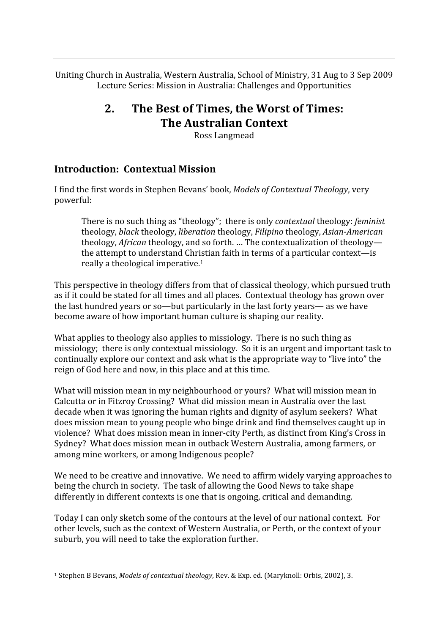Uniting Church in Australia, Western Australia, School of Ministry, 31 Aug to 3 Sep 2009 Lecture
Series:
Mission
in
Australia:
Challenges
and
Opportunities

# **2. The
Best
of
Times,
the
Worst
of
Times: The
Australian
Context**

Ross
Langmead

#### **Introduction:

Contextual
Mission**

I
find
the
first
words
in
Stephen
Bevans'
book, *Models
of
Contextual
Theology*,
very powerful:

There
is
no
such
thing
as
"theology";

there
is
only *contextual*theology: *feminist* theology, *black*theology, *liberation*theology, *Filipino*theology, *Asian*‐*American* theology, *African* theology, and so forth. ... The contextualization of theology the
attempt
to
understand
Christian
faith
in
terms
of
a
particular
context—is really
a
theological
imperative.1

This perspective in theology differs from that of classical theology, which pursued truth as
if
it
could
be
stated
for
all
times
and
all
places.

Contextual
theology
has
grown
over the last hundred vears or so—but particularly in the last forty vears— as we have become
aware
of
how
important
human
culture
is
shaping
our
reality.

What applies to theology also applies to missiology. There is no such thing as missiology;

there
is
only
contextual
missiology.

So
it
is
an
urgent
and
important
task
to continually explore our context and ask what is the appropriate way to "live into" the reign
of
God
here
and
now,
in
this
place
and
at
this
time.

What will mission mean in my neighbourhood or yours? What will mission mean in Calcutta
or
in
Fitzroy
Crossing?

What
did
mission
mean
in
Australia
over
the
last decade
when
it
was
ignoring
the
human
rights
and
dignity
of
asylum
seekers?

What does
mission
mean
to
young
people
who
binge
drink
and
find
themselves
caught
up
in violence?

What
does
mission
mean
in
inner‐city
Perth,
as
distinct
from
King's
Cross
in Sydney?

What
does
mission
mean
in
outback
Western
Australia,
among
farmers,
or among
mine
workers,
or
among
Indigenous
people?

We need to be creative and innovative. We need to affirm widely varying approaches to being the church in society. The task of allowing the Good News to take shape differently in different contexts is one that is ongoing, critical and demanding.

Today I can only sketch some of the contours at the level of our national context. For other
levels,
such
as
the
context
of
Western
Australia,
or
Perth,
or
the
context
of
your suburb,
you
will
need
to
take
the
exploration
further.

<sup>&</sup>lt;sup>1</sup> Stephen B Bevans, *Models of contextual theology*, Rev. & Exp. ed. (Maryknoll: Orbis, 2002), 3.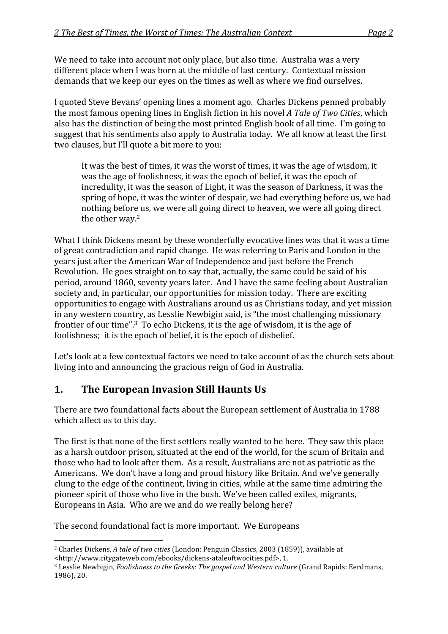We need to take into account not only place, but also time. Australia was a very different place when I was born at the middle of last century. Contextual mission demands
that
we
keep
our
eyes
on
the
times
as
well
as
where
we
find
ourselves.

I
quoted
Steve
Bevans'
opening
lines
a
moment
ago.

Charles
Dickens
penned
probably the
most
famous
opening
lines
in
English
fiction
in
his
novel *A
Tale
of
Two
Cities*,
which also has the distinction of being the most printed English book of all time. I'm going to suggest that his sentiments also apply to Australia today. We all know at least the first two clauses, but I'll quote a bit more to you:

It was the best of times, it was the worst of times, it was the age of wisdom, it was the age of foolishness, it was the epoch of belief, it was the epoch of incredulity,
it
was
the
season
of
Light,
it
was
the
season
of
Darkness,
it
was
the spring of hope, it was the winter of despair, we had everything before us, we had nothing
before
us,
we
were
all
going
direct
to
heaven,
we
were
all
going
direct the
other
way.2

What I think Dickens meant by these wonderfully evocative lines was that it was a time of
great
contradiction
and
rapid
change.

He
was
referring
to
Paris
and
London
in
the years
just
after
the
American
War
of
Independence
and
just
before
the
French Revolution. He goes straight on to say that, actually, the same could be said of his period,
around
1860,
seventy
years
later.

And
I
have
the
same
feeling
about
Australian society and, in particular, our opportunities for mission today. There are exciting opportunities
to
engage
with
Australians
around
us
as
Christians
today,
and
yet
mission in
any
western
country,
as
Lesslie
Newbigin
said,
is
"the
most
challenging
missionary frontier of our time".<sup>3</sup> To echo Dickens, it is the age of wisdom, it is the age of foolishness; it is the epoch of belief, it is the epoch of disbelief.

Let's look at a few contextual factors we need to take account of as the church sets about living into and announcing the gracious reign of God in Australia.

#### **1. The
European
Invasion
Still
Haunts
Us**

There
are
two
foundational
facts
about
the
European
settlement
of
Australia
in
1788 which affect us to this day.

The first is that none of the first settlers really wanted to be here. They saw this place as
a
harsh
outdoor
prison,
situated
at
the
end
of
the
world,
for
the
scum
of
Britain
and those who had to look after them. As a result, Australians are not as patriotic as the Americans. We don't have a long and proud history like Britain. And we've generally clung
to
the
edge
of
the
continent,
living
in
cities,
while
at
the
same
time
admiring
the pioneer
spirit
of
those
who
live
in
the
bush.
We've
been
called
exiles,
migrants, Europeans in Asia. Who are we and do we really belong here?

The
second
foundational
fact
is
more
important.

We
Europeans

 <sup>2</sup> Charles Dickens, *A tale of two cities* (London: Penguin Classics, 2003 (1859)), available at <http://www.citygateweb.com/ebooks/dickens‐ataleoftwocities.pdf>,
1.

<sup>&</sup>lt;sup>3</sup> Lesslie Newbigin, *Foolishness to the Greeks: The gospel and Western culture* (Grand Rapids: Eerdmans, 1986),
20.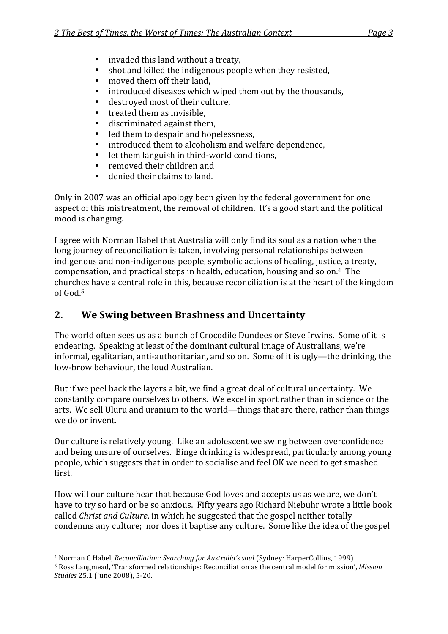- invaded this land without a treaty,
- shot and killed the indigenous people when they resisted,
- moved them off their land.
- introduced diseases which wiped them out by the thousands,
- destroyed most of their culture,
- treated them as invisible.
- discriminated
against
them,
- led them to despair and hopelessness,
- introduced
them
to
alcoholism
and
welfare
dependence,
- let them languish in third-world conditions.
- removed their children and
- denied their claims to land.

Only
in
2007 was
an
official
apology
been
given
by
the
federal
government
for
one aspect of this mistreatment, the removal of children. It's a good start and the political mood
is
changing.

I agree with Norman Habel that Australia will only find its soul as a nation when the long journey of reconciliation is taken, involving personal relationships between indigenous and non-indigenous people, symbolic actions of healing, justice, a treaty, compensation,
and
practical
steps
in
health,
education,
housing
and
so
on.4

The churches have a central role in this, because reconciliation is at the heart of the kingdom of
God.5

#### **2. We
Swing
between
Brashness
and
Uncertainty**

The
world
often
sees
us
as
a
bunch
of
Crocodile
Dundees
or
Steve
Irwins.

Some
of
it
is endearing.

Speaking
at
least
of
the
dominant
cultural
image
of
Australians,
we're informal, egalitarian, anti-authoritarian, and so on. Some of it is ugly—the drinking, the low‐brow
behaviour,
the
loud
Australian.

But if we peel back the layers a bit, we find a great deal of cultural uncertainty. We constantly compare ourselves to others. We excel in sport rather than in science or the arts.

We
sell
Uluru
and
uranium
to
the
world—things
that
are
there,
rather
than
things we
do
or
invent.

Our
culture
is
relatively
young.

Like
an
adolescent
we
swing
between
overconfidence and
being
unsure
of
ourselves.

Binge
drinking
is
widespread,
particularly
among
young people,
which
suggests
that
in
order
to
socialise
and
feel
OK
we
need
to
get
smashed first.

How
will
our
culture
hear
that
because
God
loves
and
accepts
us
as
we
are,
we
don't have
to
try
so
hard
or
be
so
anxious.

Fifty
years
ago
Richard
Niebuhr
wrote
a
little
book called *Christ
and
Culture*,
in
which
he
suggested
that
the
gospel
neither
totally condemns
any
culture;

nor
does
it
baptise
any
culture.

Some
like
the
idea
of
the
gospel

<sup>&</sup>lt;sup>4</sup> Norman C Habel, *Reconciliation: Searching for Australia's soul* (Svdnev: HarperCollins. 1999).

<sup>&</sup>lt;sup>5</sup> Ross Langmead, 'Transformed relationships: Reconciliation as the central model for mission', Mission *Studies*25.1
(June
2008),
5‐20.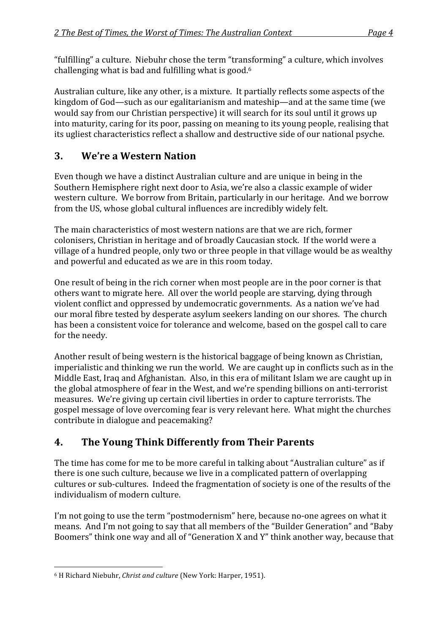"fulfilling"
a
culture.

Niebuhr
chose
the
term
"transforming"
a
culture,
which
involves challenging
what
is
bad
and
fulfilling
what
is
good.6

Australian
culture,
like
any
other,
is
a
mixture.

It
partially
reflects
some
aspects
of
the kingdom of God—such as our egalitarianism and mateship—and at the same time (we would say from our Christian perspective) it will search for its soul until it grows up into maturity, caring for its poor, passing on meaning to its young people, realising that its
ugliest
characteristics
reflect
a
shallow
and
destructive
side
of
our
national
psyche.

## **3. We're
a
Western
Nation**

Even though we have a distinct Australian culture and are unique in being in the Southern
Hemisphere
right
next
door
to
Asia,
we're
also
a
classic
example
of
wider western culture. We borrow from Britain, particularly in our heritage. And we borrow from
the
US,
whose
global
cultural
influences
are
incredibly
widely
felt.

The
main
characteristics
of
most
western
nations
are
that
we
are
rich,
former colonisers,
Christian
in
heritage
and
of
broadly
Caucasian
stock.

If
the
world
were
a village
of
a
hundred
people,
only
two
or
three
people
in
that
village
would
be
as
wealthy and
powerful
and
educated
as
we
are
in
this
room
today.

One result of being in the rich corner when most people are in the poor corner is that others
want
to
migrate
here.

All
over
the
world
people
are
starving,
dying
through violent
conflict
and
oppressed
by
undemocratic
governments.

As
a
nation
we've
had our
moral
fibre
tested
by
desperate
asylum
seekers
landing
on
our
shores.

The
church has been a consistent voice for tolerance and welcome, based on the gospel call to care for
the
needy.

Another
result
of
being
western
is
the
historical
baggage
of
being
known
as
Christian, imperialistic and thinking we run the world. We are caught up in conflicts such as in the Middle East, Iraq and Afghanistan. Also, in this era of militant Islam we are caught up in the
global
atmosphere
of
fear
in
the
West,
and
we're
spending
billions
on
anti‐terrorist measures.

We're
giving
up
certain
civil
liberties
in
order
to
capture
terrorists.
The gospel
message
of
love
overcoming
fear
is
very
relevant
here.

What
might
the
churches contribute
in
dialogue
and
peacemaking?

# **4. The
Young
Think
Differently
from
Their
Parents**

The time has come for me to be more careful in talking about "Australian culture" as if there
is
one
such
culture,
because
we
live
in
a
complicated
pattern
of
overlapping cultures or sub-cultures. Indeed the fragmentation of society is one of the results of the individualism
of
modern
culture.

I'm not going to use the term "postmodernism" here, because no-one agrees on what it means.

And
I'm
not
going
to
say
that
all
members
of
the
"Builder
Generation"
and
"Baby Boomers" think one way and all of "Generation X and Y" think another way, because that

 <sup>6</sup> H Richard Niebuhr, Christ and culture (New York: Harper, 1951).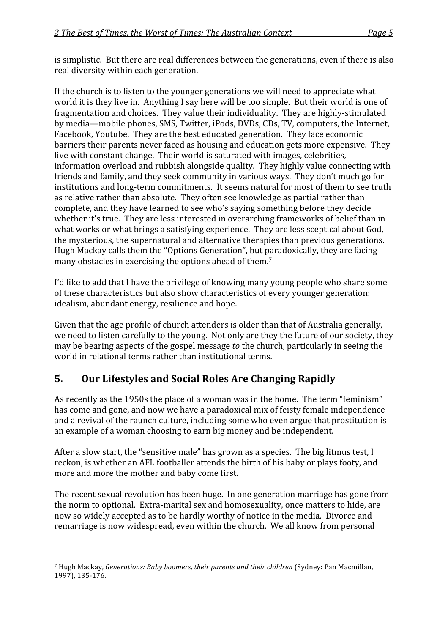is simplistic. But there are real differences between the generations, even if there is also real
diversity
within
each
generation.

If the church is to listen to the younger generations we will need to appreciate what world it is they live in. Anything I say here will be too simple. But their world is one of fragmentation and choices. They value their individuality. They are highly-stimulated by
media—mobile
phones,
SMS,
Twitter,
iPods,
DVDs,
CDs,
TV,
computers,
the
Internet, Facebook, Youtube. They are the best educated generation. They face economic barriers their parents never faced as housing and education gets more expensive. They live
with
constant
change.

Their
world
is
saturated
with
images,
celebrities, information overload and rubbish alongside quality. They highly value connecting with friends
and
family,
and
they
seek
community
in
various
ways.

They
don't
much
go
for institutions and long-term commitments. It seems natural for most of them to see truth as
relative
rather
than
absolute.

They
often
see
knowledge
as
partial
rather
than complete,
and
they
have
learned
to
see
who's
saying
something
before
they
decide whether it's true. They are less interested in overarching frameworks of belief than in what works or what brings a satisfying experience. They are less sceptical about God, the
mysterious,
the
supernatural
and
alternative
therapies
than
previous
generations. Hugh
Mackay
calls
them
the
"Options
Generation",
but
paradoxically,
they
are
facing many obstacles in exercising the options ahead of them.<sup>7</sup>

I'd like to add that I have the privilege of knowing many young people who share some of
these
characteristics
but
also
show
characteristics
of
every
younger
generation: idealism,
abundant
energy,
resilience
and
hope.

Given that the age profile of church attenders is older than that of Australia generally, we need to listen carefully to the young. Not only are they the future of our society, they may be bearing aspects of the gospel message *to* the church, particularly in seeing the world
in
relational
terms
rather
than
institutional
terms.

### **5. Our
Lifestyles
and
Social
Roles
Are
Changing
Rapidly**

As recently as the 1950s the place of a woman was in the home. The term "feminism" has come and gone, and now we have a paradoxical mix of feisty female independence and
a
revival
of
the
raunch
culture,
including
some
who
even
argue
that
prostitution
is an
example
of
a
woman
choosing
to
earn
big
money
and
be
independent.

After a slow start, the "sensitive male" has grown as a species. The big litmus test, I reckon,
is
whether
an
AFL
footballer
attends
the
birth
of
his
baby
or
plays
footy,
and more and more the mother and baby come first.

The
recent
sexual
revolution
has
been
huge.

In
one
generation
marriage
has
gone
from the norm to optional. Extra-marital sex and homosexuality, once matters to hide, are now
so
widely
accepted
as
to
be
hardly
worthy
of
notice
in
the
media.

Divorce
and remarriage
is
now
widespread,
even
within
the
church.

We
all
know
from
personal

<sup>7</sup> Hugh
Mackay, *Generations:
Baby
boomers,
their
parents
and
their
children*(Sydney:
Pan
Macmillan, 1997),
135‐176.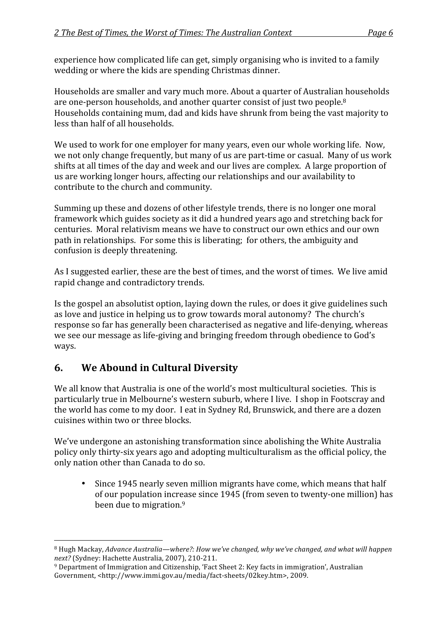experience
how
complicated
life
can
get,
simply
organising
who
is
invited
to
a
family wedding
or
where
the
kids
are
spending
Christmas
dinner.

Households
are
smaller
and
vary
much
more.
About
a
quarter
of
Australian
households are
one‐person
households,
and
another
quarter
consist
of
just
two
people.8 Households
containing
mum,
dad
and
kids
have
shrunk
from
being
the
vast
majority
to less
than
half
of
all
households.

We used to work for one employer for many years, even our whole working life. Now, we not only change frequently, but many of us are part-time or casual. Many of us work shifts at all times of the day and week and our lives are complex. A large proportion of us
are
working
longer
hours,
affecting
our
relationships
and
our
availability
to contribute to the church and community.

Summing
up
these
and
dozens
of
other
lifestyle
trends,
there
is
no
longer
one
moral framework
which
guides
society
as
it
did
a
hundred
years
ago
and
stretching
back
for centuries.

Moral
relativism
means
we
have
to
construct
our
own
ethics
and
our
own path
in
relationships.

For
some
this
is
liberating;

for
others,
the
ambiguity
and confusion
is
deeply
threatening.

As I suggested earlier, these are the best of times, and the worst of times. We live amid rapid
change
and
contradictory
trends.

Is the gospel an absolutist option, laying down the rules, or does it give guidelines such as
love
and
justice
in
helping
us
to
grow
towards
moral
autonomy?

The
church's response
so
far
has
generally
been
characterised
as
negative
and
life‐denying,
whereas we see our message as life-giving and bringing freedom through obedience to God's ways.

### **6. We
Abound
in
Cultural
Diversity**

We all know that Australia is one of the world's most multicultural societies. This is particularly
true
in
Melbourne's
western
suburb,
where
I
live.

I
shop
in
Footscray
and the
world
has
come
to
my
door.

I
eat
in
Sydney
Rd,
Brunswick,
and
there
are
a
dozen cuisines
within
two
or
three
blocks.

We've undergone an astonishing transformation since abolishing the White Australia policy
only
thirty‐six
years
ago
and
adopting
multiculturalism
as
the
official
policy,
the only
nation
other
than
Canada
to
do
so.

• Since
1945
nearly
seven
million
migrants
have
come,
which
means
that
half of
our
population
increase
since
1945
(from
seven
to
twenty‐one
million)
has been due to migration.<sup>9</sup>

 <sup>8</sup> Hugh Mackay, Advance Australia—where?: How we've changed, why we've changed, and what will happen next? (Sydney: Hachette Australia, 2007), 210-211.

<sup>&</sup>lt;sup>9</sup> Department of Immigration and Citizenship, 'Fact Sheet 2: Key facts in immigration', Australian Government, <http://www.immi.gov.au/media/fact-sheets/02key.htm>, 2009.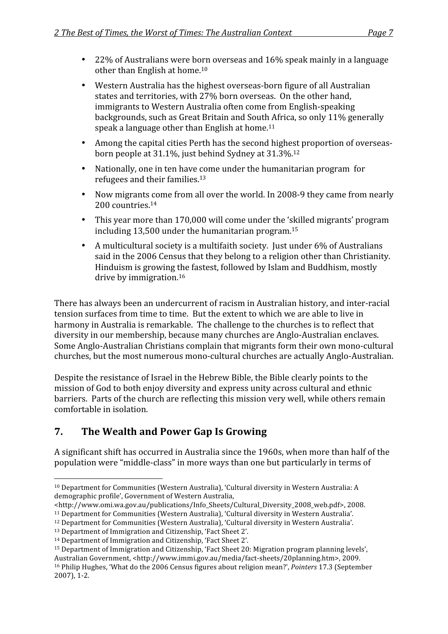- 22% of Australians were born overseas and 16% speak mainly in a language other
than
English
at
home. 10
- Western Australia has the highest overseas-born figure of all Australian states and territories, with 27% born overseas. On the other hand, immigrants
to
Western
Australia
often
come
from
English‐speaking backgrounds,
such
as
Great
Britain
and
South
Africa,
so
only
11% generally speak
a
language
other
than
English
at
home.11
- Among the capital cities Perth has the second highest proportion of overseasborn
people
at
31.1%,
just
behind
Sydney
at
31.3%.12
- Nationally, one in ten have come under the humanitarian program for refugees and their families.<sup>13</sup>
- Now migrants come from all over the world. In 2008-9 they came from nearly 200 countries.<sup>14</sup>
- This
year
more
than
170,000
will
come
under
the
'skilled
migrants'
program including
13,500
under
the
humanitarian
program.15
- A multicultural society is a multifaith society. Just under 6% of Australians said in the 2006 Census that they belong to a religion other than Christianity. Hinduism
is
growing
the
fastest,
followed
by
Islam
and
Buddhism,
mostly drive by immigration.<sup>16</sup>

There
has
always
been
an
undercurrent
of
racism
in
Australian
history,
and
inter‐racial tension surfaces from time to time. But the extent to which we are able to live in harmony in Australia is remarkable. The challenge to the churches is to reflect that diversity
in
our
membership,
because
many
churches
are
Anglo‐Australian
enclaves. Some
Anglo‐Australian
Christians
complain
that
migrants
form
their
own
mono‐cultural churches,
but
the
most
numerous
mono‐cultural
churches
are
actually
Anglo‐Australian.

Despite the resistance of Israel in the Hebrew Bible, the Bible clearly points to the mission
of
God
to
both
enjoy
diversity
and
express
unity
across
cultural
and
ethnic barriers. Parts of the church are reflecting this mission very well, while others remain comfortable
in
isolation.

### **7. The
Wealth
and
Power
Gap
Is
Growing**

A significant shift has occurred in Australia since the 1960s, when more than half of the population
were
"middle‐class"
in
more
ways
than
one
but
particularly
in
terms
of

<sup>&</sup>lt;sup>10</sup> Department for Communities (Western Australia), 'Cultural diversity in Western Australia: A demographic
profile',
Government
of
Western
Australia,

<sup>&</sup>lt;http://www.omi.wa.gov.au/publications/Info\_Sheets/Cultural\_Diversity\_2008\_web.pdf>,
2008.

<sup>&</sup>lt;sup>11</sup> Department for Communities (Western Australia), 'Cultural diversity in Western Australia'.

<sup>&</sup>lt;sup>12</sup> Department for Communities (Western Australia), 'Cultural diversity in Western Australia'.

<sup>&</sup>lt;sup>13</sup> Department of Immigration and Citizenship, 'Fact Sheet 2'.

<sup>14</sup> Department of Immigration and Citizenship, 'Fact Sheet 2'.

<sup>&</sup>lt;sup>15</sup> Department of Immigration and Citizenship, 'Fact Sheet 20: Migration program planning levels', Australian Government, <http://www.immi.gov.au/media/fact-sheets/20planning.htm>, 2009.

<sup>&</sup>lt;sup>16</sup> Philip Hughes, 'What do the 2006 Census figures about religion mean?', *Pointers* 17.3 (September 2007),
1‐2.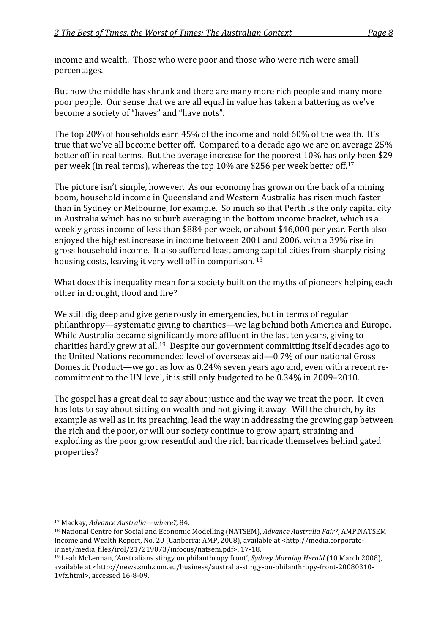income
and
wealth.

Those
who
were
poor
and
those
who
were
rich
were
small percentages.

But now the middle has shrunk and there are many more rich people and many more poor
people.

Our
sense
that
we
are
all
equal
in
value
has
taken
a
battering
as
we've become
a
society
of
"haves"
and
"have
nots".

The top 20% of households earn 45% of the income and hold 60% of the wealth. It's true that we've all become better off. Compared to a decade ago we are on average 25% better off in real terms. But the average increase for the poorest 10% has only been \$29 per
week
(in
real
terms),
whereas
the
top
10%
are
\$256
per
week
better
off.17

The
picture
isn't
simple,
however.

As
our
economy
has
grown
on
the
back
of
a
mining boom,
household
income
in
Queensland
and
Western
Australia
has
risen
much
faster than
in
Sydney
or
Melbourne,
for
example.

So
much
so
that
Perth
is
the
only
capital
city in
Australia
which
has
no
suburb
averaging
in
the
bottom
income
bracket,
which
is
a weekly gross income of less than \$884 per week, or about \$46,000 per year. Perth also enjoyed the highest increase in income between 2001 and 2006, with a 39% rise in gross
household
income.

It
also
suffered
least
among
capital
cities
from
sharply
rising housing costs, leaving it very well off in comparison.<sup>18</sup>

What does this inequality mean for a society built on the myths of pioneers helping each other
in
drought,
flood
and
fire?

We still dig deep and give generously in emergencies, but in terms of regular philanthropy—systematic
giving
to
charities—we
lag
behind
both
America
and
Europe. While Australia became significantly more affluent in the last ten years, giving to charities
hardly
grew
at
all.19

Despite
our
government
committing
itself
decades
ago
to the
United
Nations
recommended
level
of
overseas
aid—0.7%
of
our
national
Gross Domestic Product—we got as low as 0.24% seven years ago and, even with a recent recommitment
to
the
UN
level,
it
is
still
only
budgeted
to
be
0.34%
in
2009–2010.

The gospel has a great deal to say about justice and the way we treat the poor. It even has lots to say about sitting on wealth and not giving it away. Will the church, by its example
as
well
as
in
its
preaching,
lead
the
way
in
addressing
the
growing
gap
between the
rich
and
the
poor,
or
will
our
society
continue
to
grow
apart,
straining
and exploding
as
the
poor
grow
resentful
and
the
rich
barricade
themselves
behind
gated properties?

 <sup>17</sup> Mackay, *Advance
Australia—where?*,
84.

<sup>&</sup>lt;sup>18</sup> National Centre for Social and Economic Modelling (NATSEM), Advance Australia Fair?, AMP.NATSEM Income and Wealth Report, No. 20 (Canberra: AMP, 2008), available at <http://media.corporateir.net/media\_files/irol/21/219073/infocus/natsem.pdf>,
17‐18.

<sup>&</sup>lt;sup>19</sup> Leah McLennan, 'Australians stingy on philanthropy front', Sydney Morning Herald (10 March 2008), available at <http://news.smh.com.au/business/australia-stingy-on-philanthropy-front-20080310-1yfz.html>,
accessed
16‐8‐09.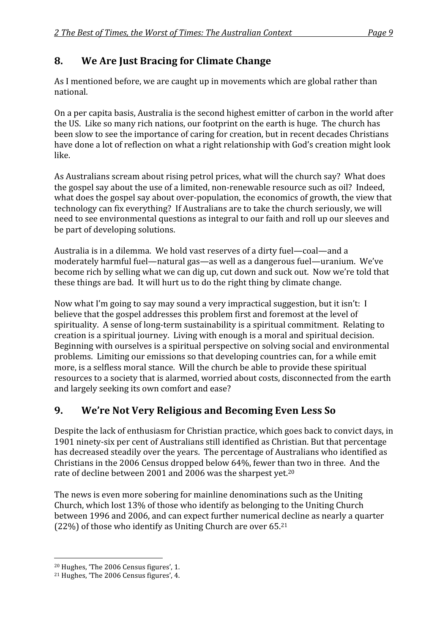### **8. We
Are
Just
Bracing
for
Climate
Change**

As I mentioned before, we are caught up in movements which are global rather than national.

On a per capita basis. Australia is the second highest emitter of carbon in the world after the
US.

Like
so
many
rich
nations,
our
footprint
on
the
earth
is
huge.

The
church
has been slow to see the importance of caring for creation, but in recent decades Christians have done a lot of reflection on what a right relationship with God's creation might look like.

As
Australians
scream
about
rising
petrol
prices,
what
will
the
church
say?

What
does the gospel say about the use of a limited, non-renewable resource such as oil? Indeed, what does the gospel say about over-population, the economics of growth, the view that technology
can
fix
everything?

If
Australians
are
to
take
the
church
seriously,
we
will need
to
see
environmental
questions
as
integral
to
our
faith
and
roll
up
our
sleeves
and be
part
of
developing
solutions.

Australia is in a dilemma. We hold vast reserves of a dirty fuel—coal—and a moderately
harmful
fuel—natural
gas—as
well
as
a
dangerous
fuel—uranium.

We've become
rich
by
selling
what
we
can
dig
up,
cut
down
and
suck
out.

Now
we're
told
that these
things
are
bad.

It
will
hurt
us
to
do
the
right
thing
by
climate
change.

Now what I'm going to say may sound a very impractical suggestion, but it isn't: I believe
that
the
gospel
addresses
this
problem
first
and
foremost
at
the
level
of spirituality. A sense of long-term sustainability is a spiritual commitment. Relating to creation
is
a
spiritual
journey.

Living
with
enough
is
a
moral
and
spiritual
decision. Beginning
with
ourselves
is
a
spiritual
perspective
on
solving
social
and
environmental problems.

Limiting
our
emissions
so
that
developing
countries
can,
for
a
while
emit more, is a selfless moral stance. Will the church be able to provide these spiritual resources
to
a
society
that
is
alarmed,
worried
about
costs,
disconnected
from
the
earth and
largely
seeking
its
own
comfort
and
ease?

### **9. We're
Not
Very
Religious
and
Becoming
Even
Less
So**

Despite the lack of enthusiasm for Christian practice, which goes back to convict days, in 1901
ninety‐six
per
cent
of
Australians
still
identified
as
Christian.
But
that
percentage has decreased steadily over the years. The percentage of Australians who identified as Christians
in
the
2006
Census
dropped
below
64%,
fewer
than
two
in
three.

And
the rate of decline between 2001 and 2006 was the sharpest yet.<sup>20</sup>

The
news
is
even
more
sobering
for
mainline
denominations
such
as
the
Uniting Church,
which
lost
13%
of
those
who
identify
as
belonging
to
the
Uniting
Church between
1996
and
2006,
and
can
expect
further
numerical
decline
as
nearly
a
quarter (22%)
of
those
who
identify
as
Uniting
Church
are
over
65.21

<sup>20</sup> Hughes,
'The
2006
Census
figures',
1.

<sup>21</sup> Hughes,
'The
2006
Census
figures',
4.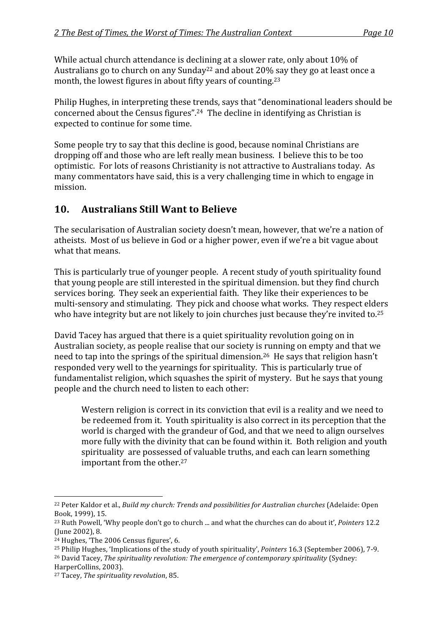While actual church attendance is declining at a slower rate, only about 10% of Australians go to church on any Sunday<sup>22</sup> and about 20% say they go at least once a month, the lowest figures in about fifty years of counting.<sup>23</sup>

Philip
Hughes,
in
interpreting
these
trends,
says
that
"denominational
leaders
should
be concerned
about
the
Census
figures".24

The
decline
in
identifying
as
Christian
is expected
to
continue
for
some
time.

Some
people
try
to
say
that
this
decline
is
good,
because
nominal
Christians
are dropping
off
and
those
who
are
left
really
mean
business.

I
believe
this
to
be
too optimistic. For lots of reasons Christianity is not attractive to Australians today. As many
commentators
have
said,
this
is
a
very
challenging
time
in
which
to
engage
in mission.

#### **10. Australians
Still
Want
to
Believe**

The secularisation of Australian society doesn't mean, however, that we're a nation of atheists.

Most
of
us
believe
in
God
or
a
higher
power,
even
if
we're
a
bit
vague
about what that means.

This is particularly true of younger people. A recent study of youth spirituality found that
young
people
are
still
interested
in
the
spiritual
dimension.
but
they
find
church services boring. They seek an experiential faith. They like their experiences to be multi-sensory and stimulating. They pick and choose what works. They respect elders who have integrity but are not likely to join churches just because they're invited to.<sup>25</sup>

David Tacey has argued that there is a quiet spirituality revolution going on in Australian society, as people realise that our society is running on empty and that we need
to
tap
into
the
springs
of
the
spiritual
dimension.26

He
says
that
religion
hasn't responded very well to the vearnings for spirituality. This is particularly true of fundamentalist religion, which squashes the spirit of mystery. But he says that young people
and
the
church
need
to
listen
to
each
other:

Western religion is correct in its conviction that evil is a reality and we need to be redeemed from it. Youth spirituality is also correct in its perception that the world is charged with the grandeur of God, and that we need to align ourselves more fully with the divinity that can be found within it. Both religion and youth spirituality are possessed of valuable truths, and each can learn something important
from
the
other.27

HarperCollins,
2003).

 <sup>22</sup> Peter Kaldor et al., *Build my church: Trends and possibilities for Australian churches* (Adelaide: Open Book,
1999),
15.

<sup>&</sup>lt;sup>23</sup> Ruth Powell, 'Why people don't go to church ... and what the churches can do about it', Pointers 12.2 (June
2002),
8.

<sup>24</sup> Hughes,
'The
2006
Census
figures',
6.

<sup>&</sup>lt;sup>25</sup> Philip Hughes, 'Implications of the study of youth spirituality', *Pointers* 16.3 (September 2006), 7-9. <sup>26</sup> David Tacey, *The spirituality revolution: The emergence of contemporary spirituality* (Sydney:

<sup>27</sup> Tacey, *The
spirituality
revolution*,
85.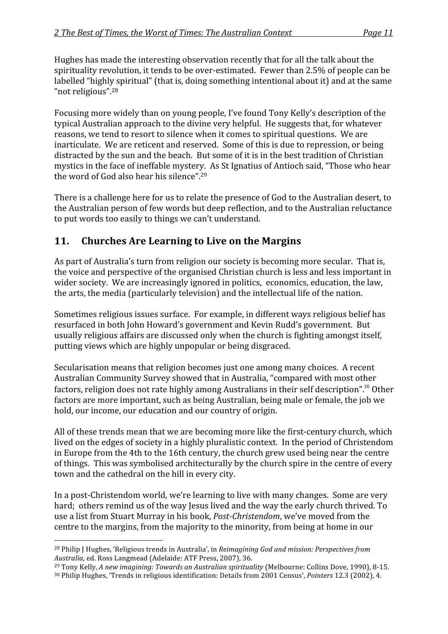Hughes
has
made
the
interesting
observation
recently
that
for
all
the
talk
about
the spirituality revolution, it tends to be over-estimated. Fewer than 2.5% of people can be labelled "highly spiritual" (that is, doing something intentional about it) and at the same "not
religious".28

Focusing more widely than on young people, I've found Tony Kelly's description of the typical
Australian
approach
to
the
divine
very
helpful.

He
suggests
that,
for
whatever reasons, we tend to resort to silence when it comes to spiritual questions. We are inarticulate. We are reticent and reserved. Some of this is due to repression, or being distracted
by
the
sun
and
the
beach.

But
some
of
it
is
in
the
best
tradition
of
Christian mystics in the face of ineffable mystery. As St Ignatius of Antioch said, "Those who hear the word of God also hear his silence".<sup>29</sup>

There is a challenge here for us to relate the presence of God to the Australian desert, to the
Australian
person
of
few
words
but
deep
reflection,
and
to
the
Australian
reluctance to put words too easily to things we can't understand.

#### **11. Churches
Are
Learning
to
Live
on
the
Margins**

As part of Australia's turn from religion our society is becoming more secular. That is, the
voice
and
perspective
of
the
organised
Christian
church
is
less
and
less
important
in wider society. We are increasingly ignored in politics, economics, education, the law, the
arts,
the
media
(particularly
television)
and
the
intellectual
life
of
the
nation.

Sometimes
religious
issues
surface.

For
example,
in
different
ways
religious
belief
has resurfaced
in
both
John
Howard's
government
and
Kevin
Rudd's
government.

But usually
religious
affairs
are
discussed
only
when
the
church
is
fighting
amongst
itself, putting
views
which
are
highly
unpopular
or
being
disgraced.

Secularisation
means
that
religion
becomes
just
one
among
many
choices.

A
recent Australian
Community
Survey
showed
that
in
Australia,
"compared
with
most
other factors, religion does not rate highly among Australians in their self description".<sup>30</sup> Other factors are more important, such as being Australian, being male or female, the job we hold, our income, our education and our country of origin.

All of these trends mean that we are becoming more like the first-century church, which lived on the edges of society in a highly pluralistic context. In the period of Christendom in
Europe
from
the
4th
to
the
16th
century,
the
church
grew
used
being
near
the
centre of
things.

This
was
symbolised
architecturally
by
the
church
spire
in
the
centre
of
every town and the cathedral on the hill in every city.

In a post-Christendom world, we're learning to live with many changes. Some are very hard; others remind us of the way Jesus lived and the way the early church thrived. To use a list from Stuart Murray in his book, Post-Christendom, we've moved from the centre
to
the
margins,
from
the
majority
to
the
minority,
from
being
at
home
in
our

<sup>29</sup> Tony Kelly, *A new imagining: Towards an Australian spirituality* (Melbourne: Collins Dove, 1990), 8-15.

<sup>&</sup>lt;sup>28</sup> Philip J Hughes, 'Religious trends in Australia', in *Reimagining God and mission: Perspectives from Australia*,
ed.
Ross
Langmead
(Adelaide:
ATF
Press,
2007),
36.

<sup>30</sup> Philip
Hughes,
'Trends
in
religious
identification:
Details
from
2001
Census', *Pointers*12.3
(2002),
4.